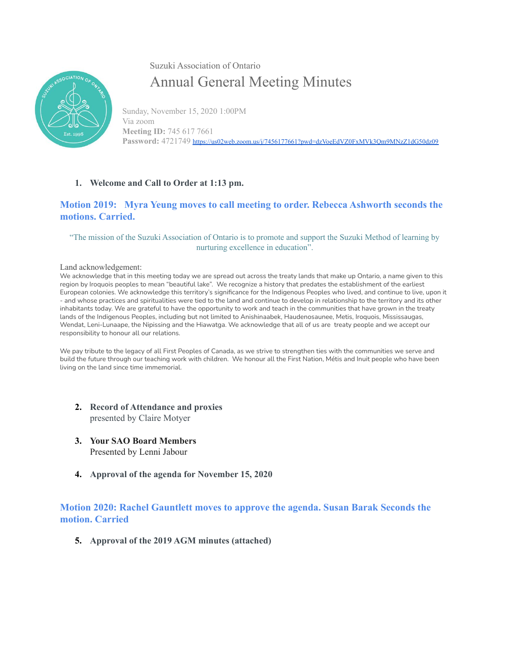

Suzuki Association of Ontario Annual General Meeting Minutes

Sunday, November 15, 2020 1:00PM Via zoom **Meeting ID:** 745 617 7661 Password: 4721749 https://us02web.zoom.us/j/7456177661?pwd=dzVoeEdVZ0FxMVk3Om9MNzZ1dG50dz09

## **1. Welcome and Call to Order at 1:13 pm.**

## **Motion 2019: Myra Yeung moves to call meeting to order. Rebecca Ashworth seconds the motions. Carried.**

#### "The mission of the Suzuki Association of Ontario is to promote and support the Suzuki Method of learning by nurturing excellence in education".

Land acknowledgement:

We acknowledge that in this meeting today we are spread out across the treaty lands that make up Ontario, a name given to this region by Iroquois peoples to mean "beautiful lake". We recognize a history that predates the establishment of the earliest European colonies. We acknowledge this territory's significance for the Indigenous Peoples who lived, and continue to live, upon it - and whose practices and spiritualities were tied to the land and continue to develop in relationship to the territory and its other inhabitants today. We are grateful to have the opportunity to work and teach in the communities that have grown in the treaty lands of the Indigenous Peoples, including but not limited to Anishinaabek, Haudenosaunee, Metis, Iroquois, Mississaugas, Wendat, Leni-Lunaape, the Nipissing and the Hiawatga. We acknowledge that all of us are treaty people and we accept our responsibility to honour all our relations.

We pay tribute to the legacy of all First Peoples of Canada, as we strive to strengthen ties with the communities we serve and build the future through our teaching work with children. We honour all the First Nation, Métis and Inuit people who have been living on the land since time immemorial.

- **2. Record of Attendance and proxies** presented by Claire Motyer
- **3. Your SAO Board Members** Presented by Lenni Jabour
- **4. Approval of the agenda for November 15, 2020**

# **Motion 2020: Rachel Gauntlett moves to approve the agenda. Susan Barak Seconds the motion. Carried**

**5. Approval of the 2019 AGM minutes (attached)**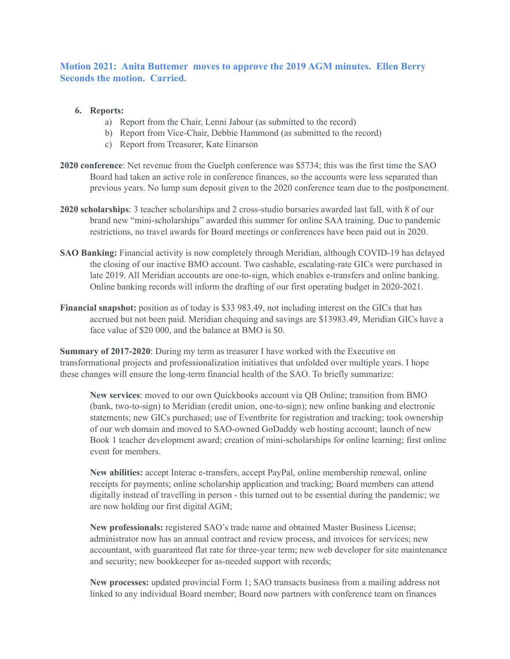# **Motion 2021: Anita Buttemer moves to approve the 2019 AGM minutes. Ellen Berry Seconds the motion. Carried.**

- **6. Reports:**
	- a) Report from the Chair, Lenni Jabour (as submitted to the record)
	- b) Report from Vice-Chair, Debbie Hammond (as submitted to the record)
	- c) Report from Treasurer, Kate Einarson
- **2020 conference**: Net revenue from the Guelph conference was \$5734; this was the first time the SAO Board had taken an active role in conference finances, so the accounts were less separated than previous years. No lump sum deposit given to the 2020 conference team due to the postponement.
- **2020 scholarships**: 3 teacher scholarships and 2 cross-studio bursaries awarded last fall, with 8 of our brand new "mini-scholarships" awarded this summer for online SAA training. Due to pandemic restrictions, no travel awards for Board meetings or conferences have been paid out in 2020.
- **SAO Banking:** Financial activity is now completely through Meridian, although COVID-19 has delayed the closing of our inactive BMO account. Two cashable, escalating-rate GICs were purchased in late 2019. All Meridian accounts are one-to-sign, which enables e-transfers and online banking. Online banking records will inform the drafting of our first operating budget in 2020-2021.
- **Financial snapshot:** position as of today is \$33 983.49, not including interest on the GICs that has accrued but not been paid. Meridian chequing and savings are \$13983.49, Meridian GICs have a face value of \$20 000, and the balance at BMO is \$0.

**Summary of 2017-2020**: During my term as treasurer I have worked with the Executive on transformational projects and professionalization initiatives that unfolded over multiple years. I hope these changes will ensure the long-term financial health of the SAO. To briefly summarize:

**New services**: moved to our own Quickbooks account via QB Online; transition from BMO (bank, two-to-sign) to Meridian (credit union, one-to-sign); new online banking and electronic statements; new GICs purchased; use of Eventbrite for registration and tracking; took ownership of our web domain and moved to SAO-owned GoDaddy web hosting account; launch of new Book 1 teacher development award; creation of mini-scholarships for online learning; first online event for members.

**New abilities:** accept Interac e-transfers, accept PayPal, online membership renewal, online receipts for payments; online scholarship application and tracking; Board members can attend digitally instead of travelling in person - this turned out to be essential during the pandemic; we are now holding our first digital AGM;

**New professionals:** registered SAO's trade name and obtained Master Business License; administrator now has an annual contract and review process, and invoices for services; new accountant, with guaranteed flat rate for three-year term; new web developer for site maintenance and security; new bookkeeper for as-needed support with records;

**New processes:** updated provincial Form 1; SAO transacts business from a mailing address not linked to any individual Board member; Board now partners with conference team on finances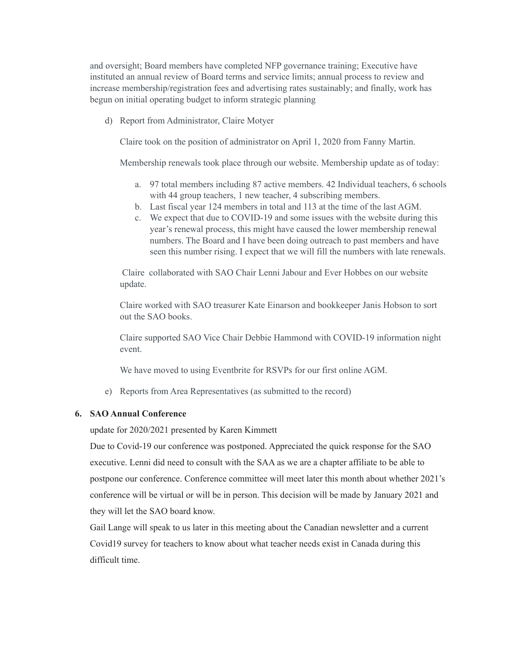and oversight; Board members have completed NFP governance training; Executive have instituted an annual review of Board terms and service limits; annual process to review and increase membership/registration fees and advertising rates sustainably; and finally, work has begun on initial operating budget to inform strategic planning

d) Report from Administrator, Claire Motyer

Claire took on the position of administrator on April 1, 2020 from Fanny Martin.

Membership renewals took place through our website. Membership update as of today:

- a. 97 total members including 87 active members. 42 Individual teachers, 6 schools with 44 group teachers, 1 new teacher, 4 subscribing members.
- b. Last fiscal year 124 members in total and 113 at the time of the last AGM.
- c. We expect that due to COVID-19 and some issues with the website during this year's renewal process, this might have caused the lower membership renewal numbers. The Board and I have been doing outreach to past members and have seen this number rising. I expect that we will fill the numbers with late renewals.

Claire collaborated with SAO Chair Lenni Jabour and Ever Hobbes on our website update.

Claire worked with SAO treasurer Kate Einarson and bookkeeper Janis Hobson to sort out the SAO books.

Claire supported SAO Vice Chair Debbie Hammond with COVID-19 information night event.

We have moved to using Eventbrite for RSVPs for our first online AGM.

e) Reports from Area Representatives (as submitted to the record)

#### **6. SAO Annual Conference**

update for 2020/2021 presented by Karen Kimmett

Due to Covid-19 our conference was postponed. Appreciated the quick response for the SAO executive. Lenni did need to consult with the SAA as we are a chapter affiliate to be able to postpone our conference. Conference committee will meet later this month about whether 2021's conference will be virtual or will be in person. This decision will be made by January 2021 and they will let the SAO board know.

Gail Lange will speak to us later in this meeting about the Canadian newsletter and a current Covid19 survey for teachers to know about what teacher needs exist in Canada during this difficult time.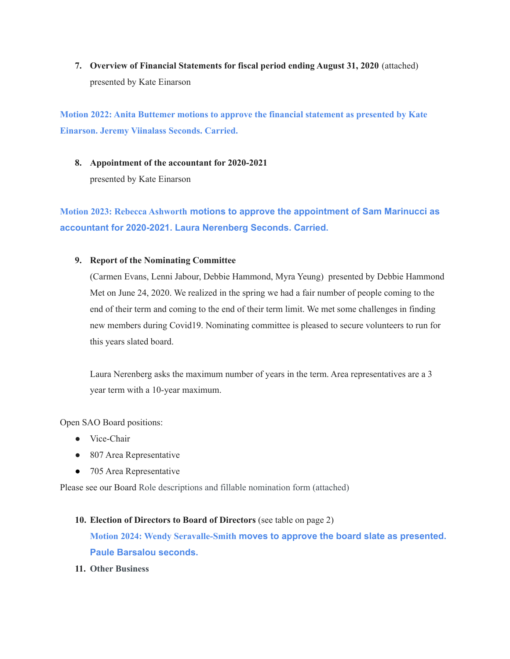**7. Overview of Financial Statements for fiscal period ending August 31, 2020** (attached) presented by Kate Einarson

**Motion 2022: Anita Buttemer motions to approve the financial statement as presented by Kate Einarson. Jeremy Viinalass Seconds. Carried.**

**8. Appointment of the accountant for 2020-2021** presented by Kate Einarson

**Motion 2023: Rebecca Ashworth motions to approve the appointment of Sam Marinucci as accountant for 2020-2021. Laura Nerenberg Seconds. Carried.**

#### **9. Report of the Nominating Committee**

(Carmen Evans, Lenni Jabour, Debbie Hammond, Myra Yeung) presented by Debbie Hammond Met on June 24, 2020. We realized in the spring we had a fair number of people coming to the end of their term and coming to the end of their term limit. We met some challenges in finding new members during Covid19. Nominating committee is pleased to secure volunteers to run for this years slated board.

Laura Nerenberg asks the maximum number of years in the term. Area representatives are a 3 year term with a 10-year maximum.

Open SAO Board positions:

- Vice-Chair
- 807 Area Representative
- 705 Area Representative

Please see our Board Role descriptions and fillable nomination form (attached)

- **10. Election of Directors to Board of Directors** (see table on page 2) **Motion 2024: Wendy Seravalle-Smith moves to approve the board slate as presented. Paule Barsalou seconds.**
- **11. Other Business**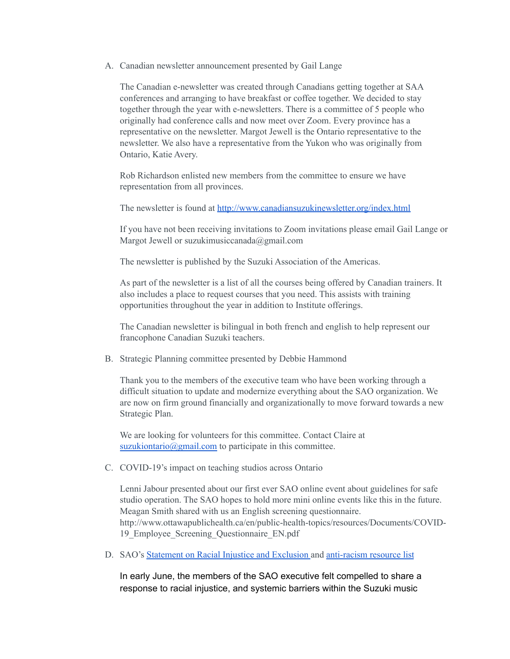A. Canadian newsletter announcement presented by Gail Lange

The Canadian e-newsletter was created through Canadians getting together at SAA conferences and arranging to have breakfast or coffee together. We decided to stay together through the year with e-newsletters. There is a committee of 5 people who originally had conference calls and now meet over Zoom. Every province has a representative on the newsletter. Margot Jewell is the Ontario representative to the newsletter. We also have a representative from the Yukon who was originally from Ontario, Katie Avery.

Rob Richardson enlisted new members from the committee to ensure we have representation from all provinces.

The newsletter is found at <http://www.canadiansuzukinewsletter.org/index.html>

If you have not been receiving invitations to Zoom invitations please email Gail Lange or Margot Jewell or suzukimusiccanada@gmail.com

The newsletter is published by the Suzuki Association of the Americas.

As part of the newsletter is a list of all the courses being offered by Canadian trainers. It also includes a place to request courses that you need. This assists with training opportunities throughout the year in addition to Institute offerings.

The Canadian newsletter is bilingual in both french and english to help represent our francophone Canadian Suzuki teachers.

B. Strategic Planning committee presented by Debbie Hammond

Thank you to the members of the executive team who have been working through a difficult situation to update and modernize everything about the SAO organization. We are now on firm ground financially and organizationally to move forward towards a new Strategic Plan.

We are looking for volunteers for this committee. Contact Claire at [suzukiontario@gmail.com](mailto:suzukiontario@gmail.com) to participate in this committee.

C. COVID-19's impact on teaching studios across Ontario

Lenni Jabour presented about our first ever SAO online event about guidelines for safe studio operation. The SAO hopes to hold more mini online events like this in the future. Meagan Smith shared with us an English screening questionnaire. http://www.ottawapublichealth.ca/en/public-health-topics/resources/Documents/COVID-19\_Employee\_Screening\_Questionnaire\_EN.pdf

D. SAO's Statement on Racial Injustice and [Exclusion](https://suzukiontario.org/wp-content/uploads/2020/10/Response-to-Racial-Injustice-The-SAOs-Action-Plan.pdf) and [anti-racism](https://docs.google.com/document/d/1_hPDWTtjfXW8nwU89Rng2ZM7VCgcG4UXxGrAIMok4yo/edit) resource list

In early June, the members of the SAO executive felt compelled to share a response to racial injustice, and systemic barriers within the Suzuki music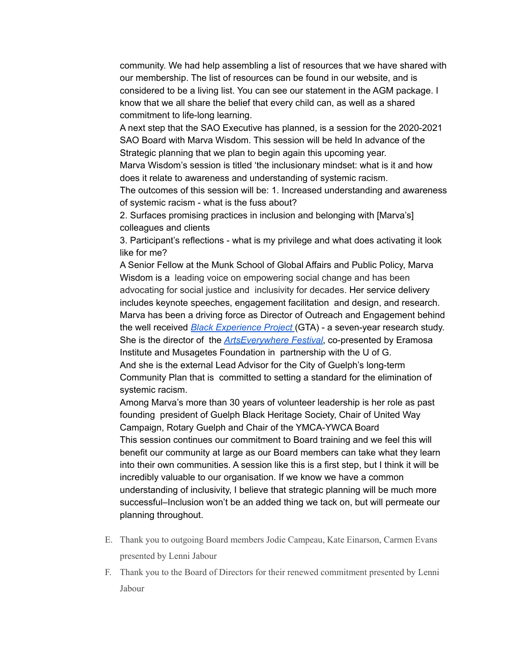community. We had help assembling a list of resources that we have shared with our membership. The list of resources can be found in our website, and is considered to be a living list. You can see our statement in the AGM package. I know that we all share the belief that every child can, as well as a shared commitment to life-long learning.

A next step that the SAO Executive has planned, is a session for the 2020-2021 SAO Board with Marva Wisdom. This session will be held In advance of the Strategic planning that we plan to begin again this upcoming year.

Marva Wisdom's session is titled 'the inclusionary mindset: what is it and how does it relate to awareness and understanding of systemic racism.

The outcomes of this session will be: 1. Increased understanding and awareness of systemic racism - what is the fuss about?

2. Surfaces promising practices in inclusion and belonging with [Marva's] colleagues and clients

3. Participant's reflections - what is my privilege and what does activating it look like for me?

A Senior Fellow at the Munk School of Global Affairs and Public Policy, Marva Wisdom is a leading voice on empowering social change and has been advocating for social justice and inclusivity for decades. Her service delivery includes keynote speeches, engagement facilitation and design, and research. Marva has been a driving force as Director of Outreach and Engagement behind the well received *Black Experience Project* (GTA) - a seven-year research study. She is the director of the *ArtsEverywhere Festival*, co-presented by Eramosa Institute and Musagetes Foundation in partnership with the U of G. And she is the external Lead Advisor for the City of Guelph's long-term Community Plan that is committed to setting a standard for the elimination of systemic racism.

Among Marva's more than 30 years of volunteer leadership is her role as past founding president of Guelph Black Heritage Society, Chair of United Way Campaign, Rotary Guelph and Chair of the YMCA-YWCA Board This session continues our commitment to Board training and we feel this will benefit our community at large as our Board members can take what they learn into their own communities. A session like this is a first step, but I think it will be incredibly valuable to our organisation. If we know we have a common understanding of inclusivity, I believe that strategic planning will be much more successful–Inclusion won't be an added thing we tack on, but will permeate our planning throughout.

- E. Thank you to outgoing Board members Jodie Campeau, Kate Einarson, Carmen Evans presented by Lenni Jabour
- F. Thank you to the Board of Directors for their renewed commitment presented by Lenni Jabour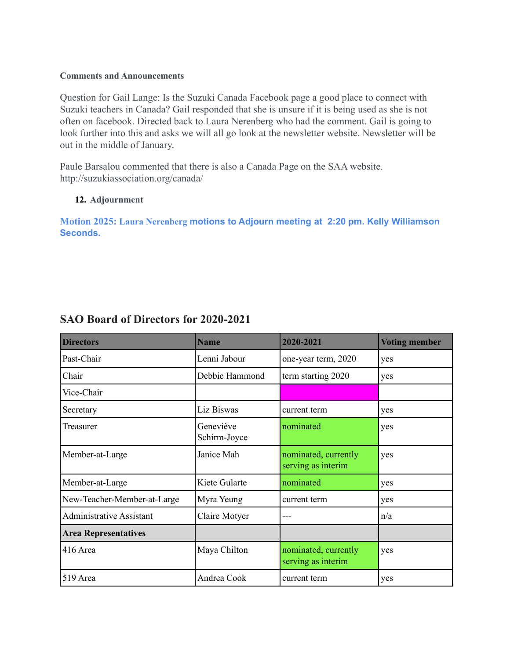### **Comments and Announcements**

Question for Gail Lange: Is the Suzuki Canada Facebook page a good place to connect with Suzuki teachers in Canada? Gail responded that she is unsure if it is being used as she is not often on facebook. Directed back to Laura Nerenberg who had the comment. Gail is going to look further into this and asks we will all go look at the newsletter website. Newsletter will be out in the middle of January.

Paule Barsalou commented that there is also a Canada Page on the SAA website. http://suzukiassociation.org/canada/

# **12. Adjournment**

**Motion 2025: Laura Nerenberg motions to Adjourn meeting at 2:20 pm. Kelly Williamson Seconds.**

| <b>Directors</b>                | <b>Name</b>               | 2020-2021                                  | <b>Voting member</b> |
|---------------------------------|---------------------------|--------------------------------------------|----------------------|
| Past-Chair                      | Lenni Jabour              | one-year term, 2020                        | yes                  |
| Chair                           | Debbie Hammond            | term starting 2020                         | yes                  |
| Vice-Chair                      |                           |                                            |                      |
| Secretary                       | Liz Biswas                | current term                               | yes                  |
| Treasurer                       | Geneviève<br>Schirm-Joyce | nominated                                  | yes                  |
| Member-at-Large                 | Janice Mah                | nominated, currently<br>serving as interim | yes                  |
| Member-at-Large                 | Kiete Gularte             | nominated                                  | yes                  |
| New-Teacher-Member-at-Large     | Myra Yeung                | current term                               | yes                  |
| <b>Administrative Assistant</b> | Claire Motyer             | ---                                        | n/a                  |
| <b>Area Representatives</b>     |                           |                                            |                      |
| 416 Area                        | Maya Chilton              | nominated, currently<br>serving as interim | yes                  |
| 519 Area                        | Andrea Cook               | current term                               | yes                  |

# **SAO Board of Directors for 2020-2021**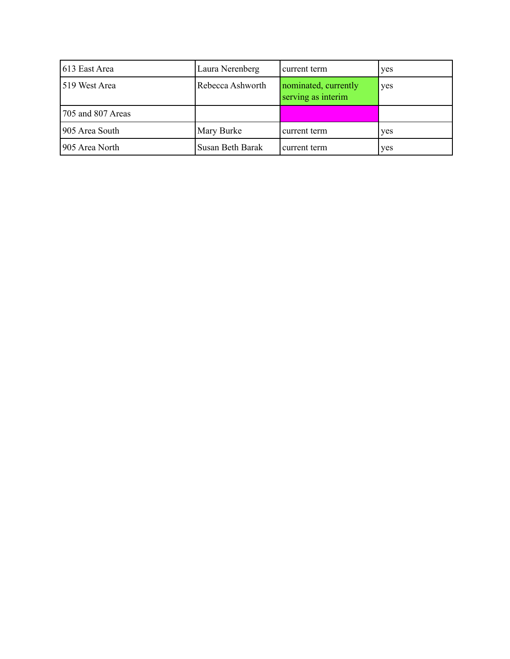| 613 East Area     | Laura Nerenberg  | current term                               | yes |
|-------------------|------------------|--------------------------------------------|-----|
| 519 West Area     | Rebecca Ashworth | nominated, currently<br>serving as interim | yes |
| 705 and 807 Areas |                  |                                            |     |
| 905 Area South    | Mary Burke       | current term                               | yes |
| 905 Area North    | Susan Beth Barak | current term                               | yes |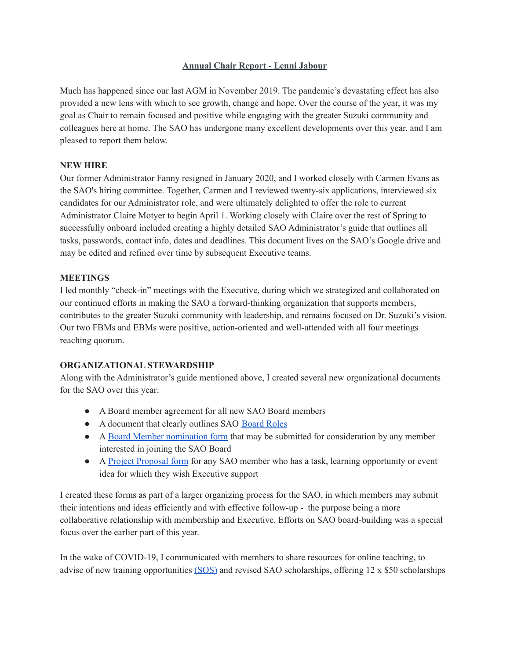## **Annual Chair Report - Lenni Jabour**

Much has happened since our last AGM in November 2019. The pandemic's devastating effect has also provided a new lens with which to see growth, change and hope. Over the course of the year, it was my goal as Chair to remain focused and positive while engaging with the greater Suzuki community and colleagues here at home. The SAO has undergone many excellent developments over this year, and I am pleased to report them below.

#### **NEW HIRE**

Our former Administrator Fanny resigned in January 2020, and I worked closely with Carmen Evans as the SAO's hiring committee. Together, Carmen and I reviewed twenty-six applications, interviewed six candidates for our Administrator role, and were ultimately delighted to offer the role to current Administrator Claire Motyer to begin April 1. Working closely with Claire over the rest of Spring to successfully onboard included creating a highly detailed SAO Administrator's guide that outlines all tasks, passwords, contact info, dates and deadlines. This document lives on the SAO's Google drive and may be edited and refined over time by subsequent Executive teams.

#### **MEETINGS**

I led monthly "check-in" meetings with the Executive, during which we strategized and collaborated on our continued efforts in making the SAO a forward-thinking organization that supports members, contributes to the greater Suzuki community with leadership, and remains focused on Dr. Suzuki's vision. Our two FBMs and EBMs were positive, action-oriented and well-attended with all four meetings reaching quorum.

## **ORGANIZATIONAL STEWARDSHIP**

Along with the Administrator's guide mentioned above, I created several new organizational documents for the SAO over this year:

- A Board member agreement for all new SAO Board members
- A document that clearly outlines SAO [Board](https://drive.google.com/drive/folders/1IqSVKUrT1EJeHuosR3Iwxx4II1qwFv3D?ths=true) Roles
- A Board Member [nomination](https://drive.google.com/drive/folders/1IqSVKUrT1EJeHuosR3Iwxx4II1qwFv3D?usp=sharing) form that may be submitted for consideration by any member interested in joining the SAO Board
- A Project [Proposal](https://drive.google.com/drive/folders/1puc-UIlRslKlgFn9PbQDzZxn6IrV9BQ9?usp=sharing) form for any SAO member who has a task, learning opportunity or event idea for which they wish Executive support

I created these forms as part of a larger organizing process for the SAO, in which members may submit their intentions and ideas efficiently and with effective follow-up - the purpose being a more collaborative relationship with membership and Executive. Efforts on SAO board-building was a special focus over the earlier part of this year.

In the wake of COVID-19, I communicated with members to share resources for online teaching, to advise of new training opportunities [\(SOS\)](https://suzukiassociation.org/news/sos-suzuki-on-line-seminars/) and revised SAO scholarships, offering 12 x \$50 scholarships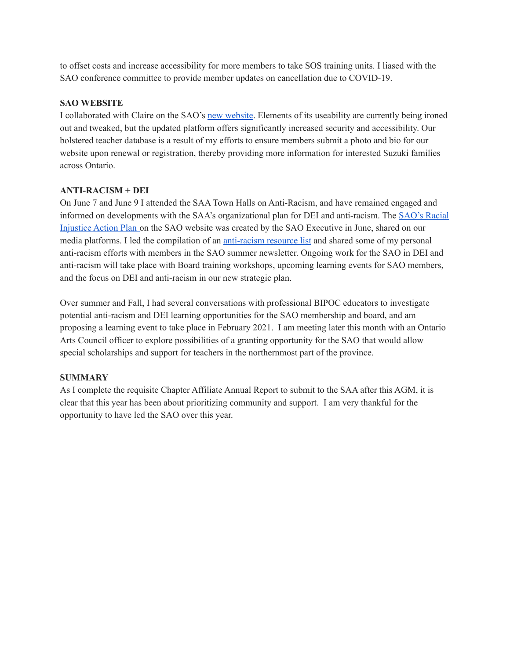to offset costs and increase accessibility for more members to take SOS training units. I liased with the SAO conference committee to provide member updates on cancellation due to COVID-19.

# **SAO WEBSITE**

I collaborated with Claire on the SAO's new [website](https://suzukiontario.org/). Elements of its useability are currently being ironed out and tweaked, but the updated platform offers significantly increased security and accessibility. Our bolstered teacher database is a result of my efforts to ensure members submit a photo and bio for our website upon renewal or registration, thereby providing more information for interested Suzuki families across Ontario.

## **ANTI-RACISM + DEI**

On June 7 and June 9 I attended the SAA Town Halls on Anti-Racism, and have remained engaged and informed on developments with the SAA's organizational plan for DEI and anti-racism. The [SAO's](https://suzukiontario.org/wp-content/uploads/2020/10/Response-to-Racial-Injustice-The-SAOs-Action-Plan.pdf) Racial [Injustice](https://suzukiontario.org/wp-content/uploads/2020/10/Response-to-Racial-Injustice-The-SAOs-Action-Plan.pdf) Action Plan on the SAO website was created by the SAO Executive in June, shared on our media platforms. I led the compilation of an [anti-racism](https://docs.google.com/document/d/1_hPDWTtjfXW8nwU89Rng2ZM7VCgcG4UXxGrAIMok4yo/edit) resource list and shared some of my personal anti-racism efforts with members in the SAO summer newsletter. Ongoing work for the SAO in DEI and anti-racism will take place with Board training workshops, upcoming learning events for SAO members, and the focus on DEI and anti-racism in our new strategic plan.

Over summer and Fall, I had several conversations with professional BIPOC educators to investigate potential anti-racism and DEI learning opportunities for the SAO membership and board, and am proposing a learning event to take place in February 2021. I am meeting later this month with an Ontario Arts Council officer to explore possibilities of a granting opportunity for the SAO that would allow special scholarships and support for teachers in the northernmost part of the province.

# **SUMMARY**

As I complete the requisite Chapter Affiliate Annual Report to submit to the SAA after this AGM, it is clear that this year has been about prioritizing community and support. I am very thankful for the opportunity to have led the SAO over this year.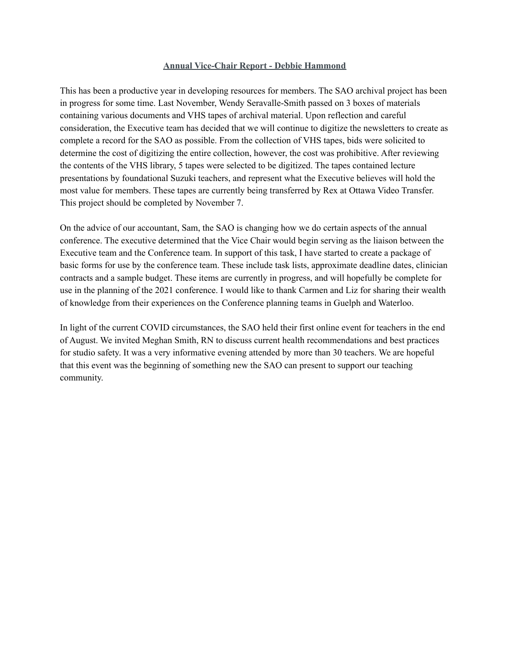#### **Annual Vice-Chair Report - Debbie Hammond**

This has been a productive year in developing resources for members. The SAO archival project has been in progress for some time. Last November, Wendy Seravalle-Smith passed on 3 boxes of materials containing various documents and VHS tapes of archival material. Upon reflection and careful consideration, the Executive team has decided that we will continue to digitize the newsletters to create as complete a record for the SAO as possible. From the collection of VHS tapes, bids were solicited to determine the cost of digitizing the entire collection, however, the cost was prohibitive. After reviewing the contents of the VHS library, 5 tapes were selected to be digitized. The tapes contained lecture presentations by foundational Suzuki teachers, and represent what the Executive believes will hold the most value for members. These tapes are currently being transferred by Rex at Ottawa Video Transfer. This project should be completed by November 7.

On the advice of our accountant, Sam, the SAO is changing how we do certain aspects of the annual conference. The executive determined that the Vice Chair would begin serving as the liaison between the Executive team and the Conference team. In support of this task, I have started to create a package of basic forms for use by the conference team. These include task lists, approximate deadline dates, clinician contracts and a sample budget. These items are currently in progress, and will hopefully be complete for use in the planning of the 2021 conference. I would like to thank Carmen and Liz for sharing their wealth of knowledge from their experiences on the Conference planning teams in Guelph and Waterloo.

In light of the current COVID circumstances, the SAO held their first online event for teachers in the end of August. We invited Meghan Smith, RN to discuss current health recommendations and best practices for studio safety. It was a very informative evening attended by more than 30 teachers. We are hopeful that this event was the beginning of something new the SAO can present to support our teaching community.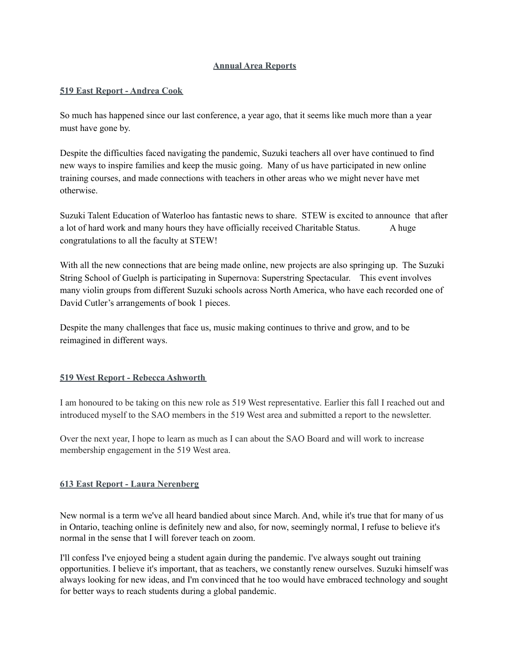#### **Annual Area Reports**

#### **519 East Report - Andrea Cook**

So much has happened since our last conference, a year ago, that it seems like much more than a year must have gone by.

Despite the difficulties faced navigating the pandemic, Suzuki teachers all over have continued to find new ways to inspire families and keep the music going. Many of us have participated in new online training courses, and made connections with teachers in other areas who we might never have met otherwise.

Suzuki Talent Education of Waterloo has fantastic news to share. STEW is excited to announce that after a lot of hard work and many hours they have officially received Charitable Status. A huge congratulations to all the faculty at STEW!

With all the new connections that are being made online, new projects are also springing up. The Suzuki String School of Guelph is participating in Supernova: Superstring Spectacular. This event involves many violin groups from different Suzuki schools across North America, who have each recorded one of David Cutler's arrangements of book 1 pieces.

Despite the many challenges that face us, music making continues to thrive and grow, and to be reimagined in different ways.

## **519 West Report - Rebecca Ashworth**

I am honoured to be taking on this new role as 519 West representative. Earlier this fall I reached out and introduced myself to the SAO members in the 519 West area and submitted a report to the newsletter.

Over the next year, I hope to learn as much as I can about the SAO Board and will work to increase membership engagement in the 519 West area.

#### **613 East Report - Laura Nerenberg**

New normal is a term we've all heard bandied about since March. And, while it's true that for many of us in Ontario, teaching online is definitely new and also, for now, seemingly normal, I refuse to believe it's normal in the sense that I will forever teach on zoom.

I'll confess I've enjoyed being a student again during the pandemic. I've always sought out training opportunities. I believe it's important, that as teachers, we constantly renew ourselves. Suzuki himself was always looking for new ideas, and I'm convinced that he too would have embraced technology and sought for better ways to reach students during a global pandemic.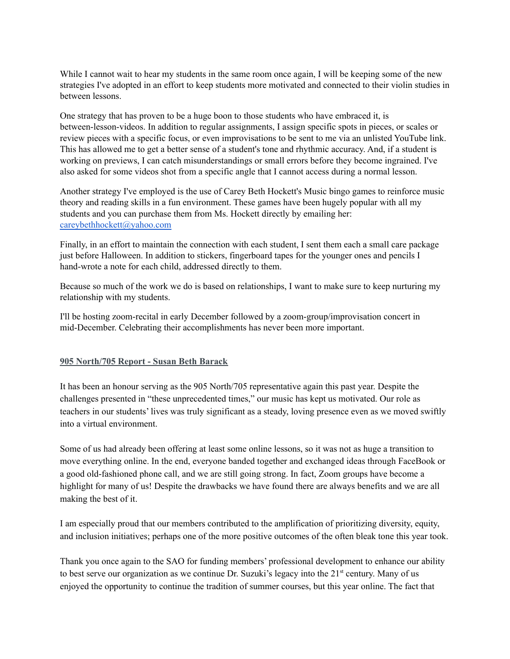While I cannot wait to hear my students in the same room once again, I will be keeping some of the new strategies I've adopted in an effort to keep students more motivated and connected to their violin studies in between lessons.

One strategy that has proven to be a huge boon to those students who have embraced it, is between-lesson-videos. In addition to regular assignments, I assign specific spots in pieces, or scales or review pieces with a specific focus, or even improvisations to be sent to me via an unlisted YouTube link. This has allowed me to get a better sense of a student's tone and rhythmic accuracy. And, if a student is working on previews, I can catch misunderstandings or small errors before they become ingrained. I've also asked for some videos shot from a specific angle that I cannot access during a normal lesson.

Another strategy I've employed is the use of Carey Beth Hockett's Music bingo games to reinforce music theory and reading skills in a fun environment. These games have been hugely popular with all my students and you can purchase them from Ms. Hockett directly by emailing her: [careybethhockett@yahoo.com](mailto:careybethhockett@yahoo.com)

Finally, in an effort to maintain the connection with each student, I sent them each a small care package just before Halloween. In addition to stickers, fingerboard tapes for the younger ones and pencils I hand-wrote a note for each child, addressed directly to them.

Because so much of the work we do is based on relationships, I want to make sure to keep nurturing my relationship with my students.

I'll be hosting zoom-recital in early December followed by a zoom-group/improvisation concert in mid-December. Celebrating their accomplishments has never been more important.

#### **905 North/705 Report - Susan Beth Barack**

It has been an honour serving as the 905 North/705 representative again this past year. Despite the challenges presented in "these unprecedented times," our music has kept us motivated. Our role as teachers in our students' lives was truly significant as a steady, loving presence even as we moved swiftly into a virtual environment.

Some of us had already been offering at least some online lessons, so it was not as huge a transition to move everything online. In the end, everyone banded together and exchanged ideas through FaceBook or a good old-fashioned phone call, and we are still going strong. In fact, Zoom groups have become a highlight for many of us! Despite the drawbacks we have found there are always benefits and we are all making the best of it.

I am especially proud that our members contributed to the amplification of prioritizing diversity, equity, and inclusion initiatives; perhaps one of the more positive outcomes of the often bleak tone this year took.

Thank you once again to the SAO for funding members' professional development to enhance our ability to best serve our organization as we continue Dr. Suzuki's legacy into the 21<sup>st</sup> century. Many of us enjoyed the opportunity to continue the tradition of summer courses, but this year online. The fact that